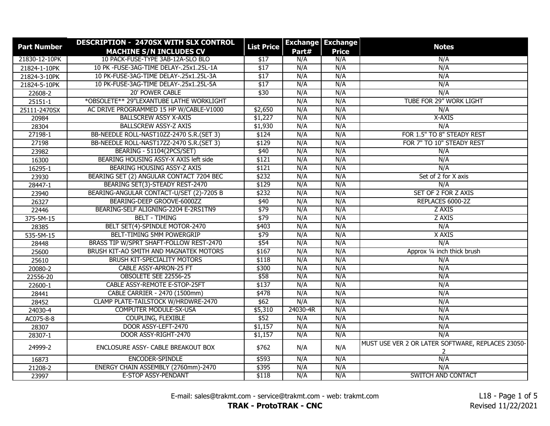| <b>Part Number</b> | DESCRIPTION - 2470SX WITH SLX CONTROL<br><b>MACHINE S/N INCLUDES CV</b> | <b>List Price</b> | Part#    | <b>Exchange Exchange</b><br><b>Price</b> | <b>Notes</b>                                           |
|--------------------|-------------------------------------------------------------------------|-------------------|----------|------------------------------------------|--------------------------------------------------------|
| 21830-12-10PK      | 10 PACK-FUSE-TYPE 3AB-12A-SLO BLO                                       | \$17              | N/A      | N/A                                      | N/A                                                    |
| 21824-1-10PK       | 10 PK -FUSE-3AG-TIME DELAY-.25x1.25L-1A                                 | \$17              | N/A      | N/A                                      | N/A                                                    |
| 21824-3-10PK       | 10 PK-FUSE-3AG-TIME DELAY-.25x1.25L-3A                                  | \$17              | N/A      | N/A                                      | N/A                                                    |
| 21824-5-10PK       | 10 PK-FUSE-3AG-TIME DELAY-.25x1.25L-5A                                  | \$17              | N/A      | N/A                                      | N/A                                                    |
| 22608-2            | <b>20' POWER CABLE</b>                                                  | \$30              | N/A      | N/A                                      | N/A                                                    |
| 25151-1            | *OBSOLETE** 29"LEXANTUBE LATHE WORKLIGHT                                |                   | N/A      | N/A                                      | TUBE FOR 29" WORK LIGHT                                |
| 25111-2470SX       | AC DRIVE PROGRAMMED 15 HP W/CABLE-V1000                                 | \$2,650           | N/A      | N/A                                      | N/A                                                    |
| 20984              | <b>BALLSCREW ASSY X-AXIS</b>                                            | \$1,227           | N/A      | N/A                                      | X-AXIS                                                 |
| 28304              | <b>BALLSCREW ASSY-Z AXIS</b>                                            | \$1,930           | N/A      | N/A                                      | N/A                                                    |
| 27198-1            | BB-NEEDLE ROLL-NAST10ZZ-2470 S.R. (SET 3)                               | \$124             | N/A      | N/A                                      | FOR 1.5" TO 8" STEADY REST                             |
| 27198              | BB-NEEDLE ROLL-NAST17ZZ-2470 S.R.(SET 3)                                | \$129             | N/A      | N/A                                      | FOR 7" TO 10" STEADY REST                              |
| 23982              | <b>BEARING - 51104(2PCS/SET)</b>                                        | \$40              | N/A      | N/A                                      | N/A                                                    |
| 16300              | BEARING HOUSING ASSY-X AXIS left side                                   | \$121             | N/A      | N/A                                      | N/A                                                    |
| 16295-1            | <b>BEARING HOUSING ASSY-Z AXIS</b>                                      | \$121             | N/A      | N/A                                      | N/A                                                    |
| 23930              | BEARING SET (2) ANGULAR CONTACT 7204 BEC                                | \$232             | N/A      | N/A                                      | Set of 2 for X axis                                    |
| 28447-1            | BEARING SET(3)-STEADY REST-2470                                         | \$129             | N/A      | N/A                                      | N/A                                                    |
| 23940              | BEARING-ANGULAR CONTACT-U/SET (2)-7205 B                                | \$232             | N/A      | N/A                                      | SET OF 2 FOR Z AXIS                                    |
| 26327              | BEARING-DEEP GROOVE-6000ZZ                                              | \$40              | N/A      | N/A                                      | REPLACES 6000-2Z                                       |
| 22446              | BEARING-SELF ALIGNING-2204 E-2RS1TN9                                    | \$79              | N/A      | N/A                                      | Z AXIS                                                 |
| 375-5M-15          | <b>BELT - TIMING</b>                                                    | \$79              | N/A      | N/A                                      | Z AXIS                                                 |
| 28385              | BELT SET(4)-SPINDLE MOTOR-2470                                          | \$403             | N/A      | N/A                                      | N/A                                                    |
| 535-5M-15          | <b>BELT-TIMING 5MM POWERGRIP</b>                                        | \$79              | N/A      | N/A                                      | X AXIS                                                 |
| 28448              | BRASS TIP W/SPRT SHAFT-FOLLOW REST-2470                                 | \$54              | N/A      | N/A                                      | N/A                                                    |
| 25600              | BRUSH KIT-AO SMITH AND MAGNATEK MOTORS                                  | \$167             | N/A      | N/A                                      | Approx 1/4 inch thick brush                            |
| 25610              | <b>BRUSH KIT-SPECIALITY MOTORS</b>                                      | \$118             | N/A      | N/A                                      | N/A                                                    |
| 20080-2            | <b>CABLE ASSY-APRON-25 FT</b>                                           | \$300             | N/A      | N/A                                      | N/A                                                    |
| 22556-20           | OBSOLETE SEE 22556-25                                                   | \$58              | N/A      | N/A                                      | N/A                                                    |
| 22600-1            | CABLE ASSY-REMOTE E-STOP-25FT                                           | \$137             | N/A      | N/A                                      | N/A                                                    |
| 28441              | CABLE CARRIER - 2470 (1500mm)                                           | \$478             | N/A      | N/A                                      | N/A                                                    |
| 28452              | CLAMP PLATE-TAILSTOCK W/HRDWRE-2470                                     | \$62              | N/A      | N/A                                      | N/A                                                    |
| 24030-4            | <b>COMPUTER MODULE-SX-USA</b>                                           | \$5,310           | 24030-4R | N/A                                      | N/A                                                    |
| AC075-8-8          | <b>COUPLING, FLEXIBLE</b>                                               | \$52              | N/A      | N/A                                      | N/A                                                    |
| 28307              | DOOR ASSY-LEFT-2470                                                     | \$1,157           | N/A      | N/A                                      | N/A                                                    |
| 28307-1            | DOOR ASSY-RIGHT-2470                                                    | \$1,157           | N/A      | N/A                                      | N/A                                                    |
| 24999-2            | ENCLOSURE ASSY- CABLE BREAKOUT BOX                                      | \$762             | N/A      | N/A                                      | MUST USE VER 2 OR LATER SOFTWARE, REPLACES 23050-<br>2 |
| 16873              | ENCODER-SPINDLE                                                         | \$593             | N/A      | N/A                                      | N/A                                                    |
| 21208-2            | ENERGY CHAIN ASSEMBLY (2760mm)-2470                                     | \$395             | N/A      | N/A                                      | N/A                                                    |
| 23997              | E-STOP ASSY-PENDANT                                                     | \$118             | N/A      | N/A                                      | SWITCH AND CONTACT                                     |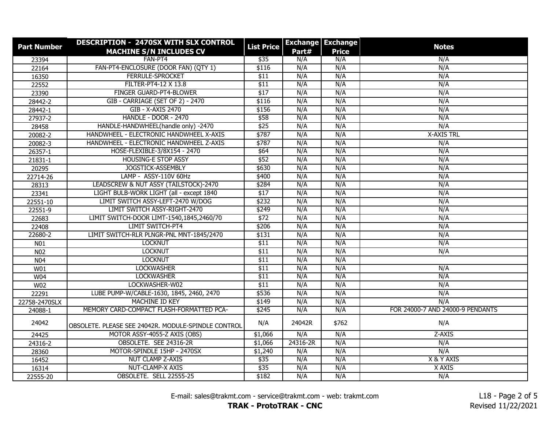| <b>Part Number</b> | DESCRIPTION - 2470SX WITH SLX CONTROL<br><b>MACHINE S/N INCLUDES CV</b> | <b>List Price</b> | Part#    | <b>Exchange Exchange</b><br><b>Price</b> | <b>Notes</b>                     |
|--------------------|-------------------------------------------------------------------------|-------------------|----------|------------------------------------------|----------------------------------|
| 23394              | FAN-PT4                                                                 | \$35              | N/A      | N/A                                      | N/A                              |
| 22164              | FAN-PT4-ENCLOSURE (DOOR FAN) (QTY 1)                                    | \$116             | N/A      | N/A                                      | N/A                              |
| 16350              | <b>FERRULE-SPROCKET</b>                                                 | \$11              | N/A      | N/A                                      | N/A                              |
| 22552              | FILTER-PT4-12 X 13.8                                                    | \$11              | N/A      | N/A                                      | N/A                              |
| 23390              | FINGER GUARD-PT4-BLOWER                                                 | \$17              | N/A      | N/A                                      | N/A                              |
| 28442-2            | GIB - CARRIAGE (SET OF 2) - 2470                                        | \$116             | N/A      | N/A                                      | N/A                              |
| 28442-1            | GIB - X-AXIS 2470                                                       | \$156             | N/A      | N/A                                      | N/A                              |
| 27937-2            | <b>HANDLE - DOOR - 2470</b>                                             | \$58              | N/A      | N/A                                      | N/A                              |
| 28458              | HANDLE-HANDWHEEL(handle only) -2470                                     | \$25              | N/A      | N/A                                      | N/A                              |
| 20082-2            | HANDWHEEL - ELECTRONIC HANDWHEEL X-AXIS                                 | \$787             | N/A      | N/A                                      | <b>X-AXIS TRL</b>                |
| 20082-3            | HANDWHEEL - ELECTRONIC HANDWHEEL Z-AXIS                                 | \$787             | N/A      | N/A                                      | N/A                              |
| 26357-1            | HOSE-FLEXIBLE-3/8X154 - 2470                                            | \$64              | N/A      | N/A                                      | N/A                              |
| 21831-1            | <b>HOUSING-E STOP ASSY</b>                                              | \$52              | N/A      | N/A                                      | N/A                              |
| 20295              | <b>JOGSTICK-ASSEMBLY</b>                                                | \$630             | N/A      | N/A                                      | N/A                              |
| 22714-26           | LAMP - ASSY-110V 60Hz                                                   | \$400             | N/A      | N/A                                      | N/A                              |
| 28313              | LEADSCREW & NUT ASSY (TAILSTOCK)-2470                                   | \$284             | N/A      | N/A                                      | N/A                              |
| 23341              | LIGHT BULB-WORK LIGHT (all - except 1840                                | \$17              | N/A      | N/A                                      | N/A                              |
| 22551-10           | LIMIT SWITCH ASSY-LEFT-2470 W/DOG                                       | \$232             | N/A      | N/A                                      | N/A                              |
| 22551-9            | LIMIT SWITCH ASSY-RIGHT-2470                                            | \$249             | N/A      | N/A                                      | N/A                              |
| 22683              | LIMIT SWITCH-DOOR LIMT-1540,1845,2460/70                                | \$72              | N/A      | N/A                                      | N/A                              |
| 22408              | <b>LIMIT SWITCH-PT4</b>                                                 | \$206             | N/A      | N/A                                      | N/A                              |
| 22680-2            | LIMIT SWITCH-RLR PLNGR-PNL MNT-1845/2470                                | \$131             | N/A      | N/A                                      | N/A                              |
| N01                | <b>LOCKNUT</b>                                                          | \$11              | N/A      | N/A                                      | N/A                              |
| N <sub>02</sub>    | <b>LOCKNUT</b>                                                          | \$11              | N/A      | N/A                                      | N/A                              |
| N <sub>04</sub>    | <b>LOCKNUT</b>                                                          | \$11              | N/A      | N/A                                      |                                  |
| W01                | <b>LOCKWASHER</b>                                                       | \$11              | N/A      | N/A                                      | N/A                              |
| W <sub>04</sub>    | <b>LOCKWASHER</b>                                                       | \$11              | N/A      | N/A                                      | N/A                              |
| W02                | LOCKWASHER-W02                                                          | \$11              | N/A      | N/A                                      | N/A                              |
| 22291              | LUBE PUMP-W/CABLE-1630, 1845, 2460, 2470                                | \$536             | N/A      | N/A                                      | N/A                              |
| 22758-2470SLX      | MACHINE ID KEY                                                          | \$149             | N/A      | N/A                                      | N/A                              |
| 24088-1            | MEMORY CARD-COMPACT FLASH-FORMATTED PCA-                                | \$245             | N/A      | N/A                                      | FOR 24000-7 AND 24000-9 PENDANTS |
| 24042              | OBSOLETE. PLEASE SEE 24042R. MODULE-SPINDLE CONTROL                     | N/A               | 24042R   | \$762                                    | N/A                              |
| 24425              | MOTOR ASSY-4055-Z AXIS (OBS)                                            | \$1,066           | N/A      | N/A                                      | Z-AXIS                           |
| 24316-2            | OBSOLETE. SEE 24316-2R                                                  | \$1,066           | 24316-2R | N/A                                      | N/A                              |
| 28360              | MOTOR-SPINDLE 15HP - 2470SX                                             | \$1,240           | N/A      | N/A                                      | N/A                              |
| 16452              | NUT CLAMP Z-AXIS                                                        | \$35              | N/A      | N/A                                      | X & Y AXIS                       |
| 16314              | NUT-CLAMP-X AXIS                                                        | \$35              | N/A      | N/A                                      | X AXIS                           |
| 22555-20           | OBSOLETE. SELL 22555-25                                                 | \$182             | N/A      | N/A                                      | N/A                              |

**TRAK - ProtoTRAK - CNC**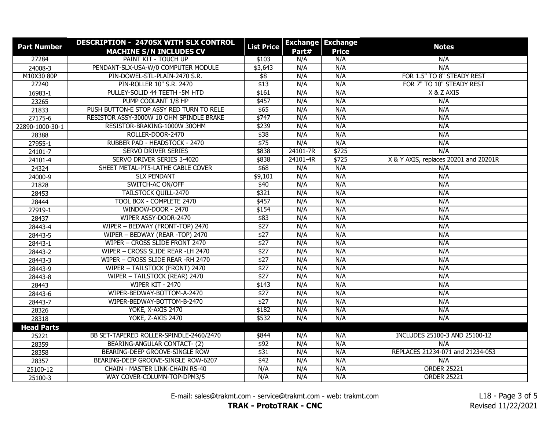| <b>Part Number</b> | DESCRIPTION - 2470SX WITH SLX CONTROL    | <b>List Price</b> |            | <b>Exchange Exchange</b> | <b>Notes</b>                          |
|--------------------|------------------------------------------|-------------------|------------|--------------------------|---------------------------------------|
|                    | <b>MACHINE S/N INCLUDES CV</b>           |                   | Part#      | <b>Price</b>             |                                       |
| 27284              | PAINT KIT - TOUCH UP                     | \$103             | N/A<br>N/A | N/A                      | N/A<br>N/A                            |
| 24008-3            | PENDANT-SLX-USA-W/0 COMPUTER MODULE      | \$3,643           |            | N/A                      |                                       |
| M10X30 80P         | PIN-DOWEL-STL-PLAIN-2470 S.R.            | \$8               | N/A        | N/A                      | FOR 1.5" TO 8" STEADY REST            |
| 27240              | PIN-ROLLER 10" S.R. 2470                 | \$13              | N/A        | N/A                      | FOR 7" TO 10" STEADY REST             |
| 16983-1            | PULLEY-SOLID 44 TEETH -5M HTD            | \$161             | N/A        | N/A                      | X & Z AXIS                            |
| 23265              | PUMP COOLANT 1/8 HP                      | \$457             | N/A        | N/A                      | N/A                                   |
| 21833              | PUSH BUTTON-E STOP ASSY RED TURN TO RELE | \$65              | N/A        | N/A                      | N/A                                   |
| 27175-6            | RESISTOR ASSY-3000W 10 OHM SPINDLE BRAKE | \$747             | N/A        | N/A                      | N/A                                   |
| 22890-1000-30-1    | RESISTOR-BRAKING-1000W 30OHM             | \$239             | N/A        | N/A                      | N/A                                   |
| 28388              | ROLLER-DOOR-2470                         | \$38              | N/A        | N/A                      | N/A                                   |
| 27955-1            | RUBBER PAD - HEADSTOCK - 2470            | \$75              | N/A        | N/A                      | N/A                                   |
| 24101-7            | <b>SERVO DRIVER SERIES</b>               | \$838             | 24101-7R   | \$725                    | N/A                                   |
| 24101-4            | SERVO DRIVER SERIES 3-4020               | \$838             | 24101-4R   | \$725                    | X & Y AXIS, replaces 20201 and 20201R |
| 24324              | SHEET METAL-PT5-LATHE CABLE COVER        | \$68              | N/A        | N/A                      | N/A                                   |
| 24000-9            | <b>SLX PENDANT</b>                       | \$9,101           | N/A        | N/A                      | N/A                                   |
| 21828              | <b>SWITCH-AC ON/OFF</b>                  | \$40              | N/A        | N/A                      | N/A                                   |
| 28453              | <b>TAILSTOCK QUILL-2470</b>              | \$321             | N/A        | N/A                      | N/A                                   |
| 28444              | TOOL BOX - COMPLETE 2470                 | \$457             | N/A        | N/A                      | N/A                                   |
| 27919-1            | WINDOW-DOOR - 2470                       | \$154             | N/A        | N/A                      | N/A                                   |
| 28437              | WIPER ASSY-DOOR-2470                     | \$83              | N/A        | N/A                      | N/A                                   |
| 28443-4            | WIPER - BEDWAY (FRONT-TOP) 2470          | \$27              | N/A        | N/A                      | N/A                                   |
| 28443-5            | WIPER - BEDWAY (REAR -TOP) 2470          | \$27              | N/A        | N/A                      | N/A                                   |
| 28443-1            | WIPER - CROSS SLIDE FRONT 2470           | \$27              | N/A        | N/A                      | N/A                                   |
| 28443-2            | WIPER - CROSS SLIDE REAR -LH 2470        | \$27              | N/A        | N/A                      | N/A                                   |
| 28443-3            | WIPER - CROSS SLIDE REAR -RH 2470        | \$27              | N/A        | N/A                      | N/A                                   |
| 28443-9            | WIPER - TAILSTOCK (FRONT) 2470           | \$27              | N/A        | N/A                      | N/A                                   |
| 28443-8            | WIPER - TAILSTOCK (REAR) 2470            | \$27              | N/A        | N/A                      | N/A                                   |
| 28443              | WIPER KIT - 2470                         | \$143             | N/A        | N/A                      | N/A                                   |
| 28443-6            | WIPER-BEDWAY-BOTTOM-A-2470               | \$27              | N/A        | N/A                      | N/A                                   |
| 28443-7            | WIPER-BEDWAY-BOTTOM-B-2470               | \$27              | N/A        | N/A                      | N/A                                   |
| 28326              | YOKE, X-AXIS 2470                        | \$182             | N/A        | N/A                      | N/A                                   |
| 28318              | YOKE, Z-AXIS 2470                        | \$532             | N/A        | N/A                      | N/A                                   |
| <b>Head Parts</b>  |                                          |                   |            |                          |                                       |
| 25221              | BB SET-TAPERED ROLLER-SPINDLE-2460/2470  | \$844             | N/A        | N/A                      | INCLUDES 25100-3 AND 25100-12         |
| 28359              | BEARING-ANGULAR CONTACT- (2)             | \$92              | N/A        | N/A                      | N/A                                   |
| 28358              | BEARING-DEEP GROOVE-SINGLE ROW           | \$31              | N/A        | N/A                      | REPLACES 21234-071 and 21234-053      |
| 28357              | BEARING-DEEP GROOVE-SINGLE ROW-6207      | \$42              | N/A        | N/A                      | N/A                                   |
| 25100-12           | <b>CHAIN - MASTER LINK-CHAIN RS-40</b>   | N/A               | N/A        | N/A                      | <b>ORDER 25221</b>                    |
| 25100-3            | WAY COVER-COLUMN-TOP-DPM3/5              | N/A               | N/A        | N/A                      | <b>ORDER 25221</b>                    |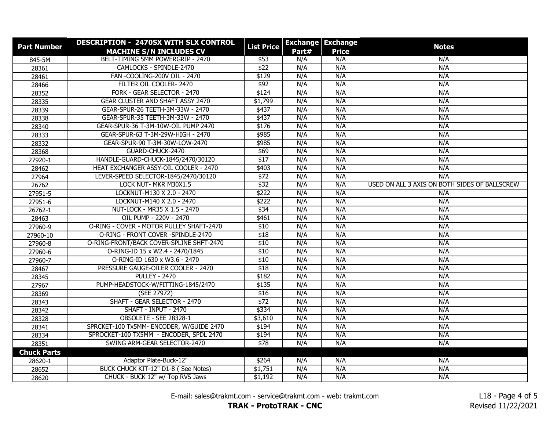| <b>Part Number</b> | DESCRIPTION - 2470SX WITH SLX CONTROL    | <b>List Price</b> |       | <b>Exchange Exchange</b> | <b>Notes</b>                                  |
|--------------------|------------------------------------------|-------------------|-------|--------------------------|-----------------------------------------------|
|                    | <b>MACHINE S/N INCLUDES CV</b>           |                   | Part# | <b>Price</b>             |                                               |
| 845-5M             | BELT-TIMING 5MM POWERGRIP - 2470         | \$53              | N/A   | N/A                      | N/A                                           |
| 28361              | CAMLOCKS - SPINDLE-2470                  | \$22              | N/A   | N/A                      | N/A                                           |
| 28461              | FAN -COOLING-200V OIL - 2470             | \$129             | N/A   | N/A                      | N/A                                           |
| 28466              | FILTER OIL COOLER-2470                   | \$92              | N/A   | N/A                      | N/A                                           |
| 28352              | FORK - GEAR SELECTOR - 2470              | \$124             | N/A   | N/A                      | N/A                                           |
| 28335              | <b>GEAR CLUSTER AND SHAFT ASSY 2470</b>  | \$1,799           | N/A   | N/A                      | N/A                                           |
| 28339              | GEAR-SPUR-26 TEETH-3M-33W - 2470         | \$437             | N/A   | N/A                      | N/A                                           |
| 28338              | GEAR-SPUR-35 TEETH-3M-33W - 2470         | \$437             | N/A   | N/A                      | N/A                                           |
| 28340              | GEAR-SPUR-36 T-3M-10W-OIL PUMP 2470      | \$176             | N/A   | N/A                      | N/A                                           |
| 28333              | GEAR-SPUR-63 T-3M-29W-HIGH - 2470        | \$985             | N/A   | N/A                      | N/A                                           |
| 28332              | GEAR-SPUR-90 T-3M-30W-LOW-2470           | \$985             | N/A   | N/A                      | N/A                                           |
| 28368              | GUARD-CHUCK-2470                         | \$69              | N/A   | N/A                      | N/A                                           |
| 27920-1            | HANDLE-GUARD-CHUCK-1845/2470/30120       | \$17              | N/A   | N/A                      | N/A                                           |
| 28462              | HEAT EXCHANGER ASSY-OIL COOLER - 2470    | \$403             | N/A   | N/A                      | N/A                                           |
| 27964              | LEVER-SPEED SELECTOR-1845/2470/30120     | \$72              | N/A   | N/A                      | N/A                                           |
| 26762              | LOCK NUT- MKR M30X1.5                    | \$32              | N/A   | N/A                      | USED ON ALL 3 AXIS ON BOTH SIDES OF BALLSCREW |
| 27951-5            | LOCKNUT-M130 X 2.0 - 2470                | \$222             | N/A   | N/A                      | N/A                                           |
| 27951-6            | LOCKNUT-M140 X 2.0 - 2470                | \$222             | N/A   | N/A                      | N/A                                           |
| 26762-1            | NUT-LOCK - MR35 X 1.5 - 2470             | \$34              | N/A   | N/A                      | N/A                                           |
| 28463              | OIL PUMP - 220V - 2470                   | \$461             | N/A   | N/A                      | N/A                                           |
| 27960-9            | O-RING - COVER - MOTOR PULLEY SHAFT-2470 | \$10              | N/A   | N/A                      | N/A                                           |
| 27960-10           | O-RING - FRONT COVER -SPINDLE-2470       | \$18              | N/A   | N/A                      | N/A                                           |
| 27960-8            | O-RING-FRONT/BACK COVER-SPLINE SHFT-2470 | \$10              | N/A   | N/A                      | N/A                                           |
| 27960-6            | O-RING-ID 15 x W2.4 - 2470/1845          | \$10              | N/A   | N/A                      | N/A                                           |
| 27960-7            | O-RING-ID 1630 x W3.6 - 2470             | \$10              | N/A   | N/A                      | N/A                                           |
| 28467              | PRESSURE GAUGE-OILER COOLER - 2470       | \$18              | N/A   | N/A                      | N/A                                           |
| 28345              | <b>PULLEY - 2470</b>                     | \$182             | N/A   | N/A                      | N/A                                           |
| 27967              | PUMP-HEADSTOCK-W/FITTING-1845/2470       | \$135             | N/A   | N/A                      | N/A                                           |
| 28369              | (SEE 27972)                              | \$16              | N/A   | N/A                      | N/A                                           |
| 28343              | SHAFT - GEAR SELECTOR - 2470             | \$72              | N/A   | N/A                      | N/A                                           |
| 28342              | SHAFT - INPUT - 2470                     | \$334             | N/A   | N/A                      | N/A                                           |
| 28328              | OBSOLETE - SEE 28328-1                   | \$3,610           | N/A   | N/A                      | N/A                                           |
| 28341              | SPRCKET-100 Tx5MM- ENCODER, W/GUIDE 2470 | \$194             | N/A   | N/A                      | N/A                                           |
| 28334              | SPROCKET-100 TX5MM - ENCODER, SPDL 2470  | \$194             | N/A   | N/A                      | N/A                                           |
| 28351              | SWING ARM-GEAR SELECTOR-2470             | \$78              | N/A   | N/A                      | N/A                                           |
| <b>Chuck Parts</b> |                                          |                   |       |                          |                                               |
| 28620-1            | Adaptor Plate-Buck-12"                   | \$264             | N/A   | N/A                      | N/A                                           |
| 28652              | BUCK CHUCK KIT-12" D1-8 (See Notes)      | \$1,751           | N/A   | N/A                      | N/A                                           |
| 28620              | CHUCK - BUCK 12" w/ Top RVS Jaws         | \$1,192           | N/A   | N/A                      | N/A                                           |